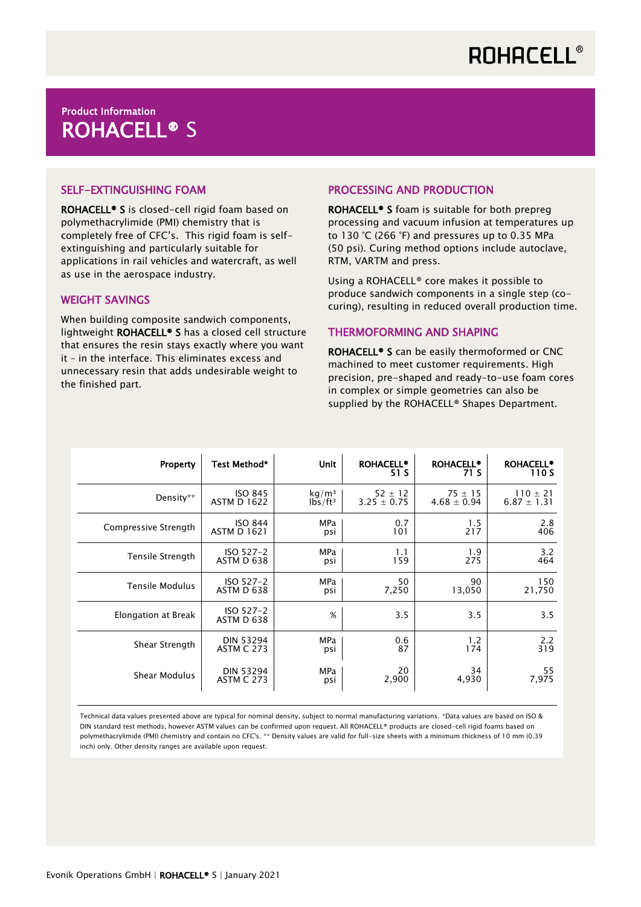# Product Information ROHACELL® S

## SELF-EXTINGUISHING FOAM

ROHACELL® S is closed-cell rigid foam based on polymethacrylimide (PMI) chemistry that is completely free of CFC's. This rigid foam is selfextinguishing and particularly suitable for applications in rail vehicles and watercraft, as well as use in the aerospace industry.

### WEIGHT SAVINGS

When building composite sandwich components, lightweight ROHACELL® S has a closed cell structure that ensures the resin stays exactly where you want it – in the interface. This eliminates excess and unnecessary resin that adds undesirable weight to the finished part.

### PROCESSING AND PRODUCTION

ROHACELL® S foam is suitable for both prepreg processing and vacuum infusion at temperatures up to 130 °C (266 °F) and pressures up to 0.35 MPa (50 psi). Curing method options include autoclave, RTM, VARTM and press.

Using a ROHACELL® core makes it possible to produce sandwich components in a single step (cocuring), resulting in reduced overall production time.

### THERMOFORMING AND SHAPING

ROHACELL® S can be easily thermoformed or CNC machined to meet customer requirements. High precision, pre-shaped and ready-to-use foam cores in complex or simple geometries can also be supplied by the ROHACELL<sup>®</sup> Shapes Department.

| Property               | Test Method*            | <b>Unit</b>       | <b>ROHACELL®</b><br>51 S | <b>ROHACELL®</b><br>71 S | <b>ROHACELL®</b><br>110 S |
|------------------------|-------------------------|-------------------|--------------------------|--------------------------|---------------------------|
| Density**              | <b>ISO 845</b>          | kg/m <sup>3</sup> | $52 \pm 12$              | $75 \pm 15$              | $110 \pm 21$              |
|                        | <b>ASTM D 1622</b>      | $lbs/ft^3$        | $3.25 \pm 0.75$          | $4.68 \pm 0.94$          | $6.87 \pm 1.31$           |
| Compressive Strength   | <b>ISO 844</b>          | <b>MPa</b>        | 0.7                      | 1.5                      | 2.8                       |
|                        | <b>ASTM D 1621</b>      | psi               | 101                      | 217                      | 406                       |
| Tensile Strength       | ISO 527-2               | MPa               | 1.1                      | 1.9                      | 3.2                       |
|                        | ASTM D 638              | psi               | 159                      | 275                      | 464                       |
| <b>Tensile Modulus</b> | ISO 527-2               | MPa               | 50                       | 90                       | 150                       |
|                        | ASTM D 638              | psi               | 7,250                    | 13,050                   | 21,750                    |
| Elongation at Break    | ISO 527-2<br>ASTM D 638 | %                 | 3.5                      | 3.5                      | 3.5                       |
| Shear Strength         | <b>DIN 53294</b>        | <b>MPa</b>        | 0.6                      | 1.2                      | 2.2                       |
|                        | <b>ASTM C 273</b>       | psi               | 87                       | 174                      | 319                       |
| Shear Modulus          | <b>DIN 53294</b>        | <b>MPa</b>        | 20                       | 34                       | 55                        |
|                        | <b>ASTM C 273</b>       | psi               | 2,900                    | 4,930                    | 7,975                     |

Technical data values presented above are typical for nominal density, subject to normal manufacturing variations. \*Data values are based on ISO & DIN standard test methods, however ASTM values can be confirmed upon request. All ROHACELL® products are closed-cell rigid foams based on polymethacrylimide (PMI) chemistry and contain no CFC's. \*\* Density values are valid for full-size sheets with a minimum thickness of 10 mm (0.39 inch) only. Other density ranges are available upon request.